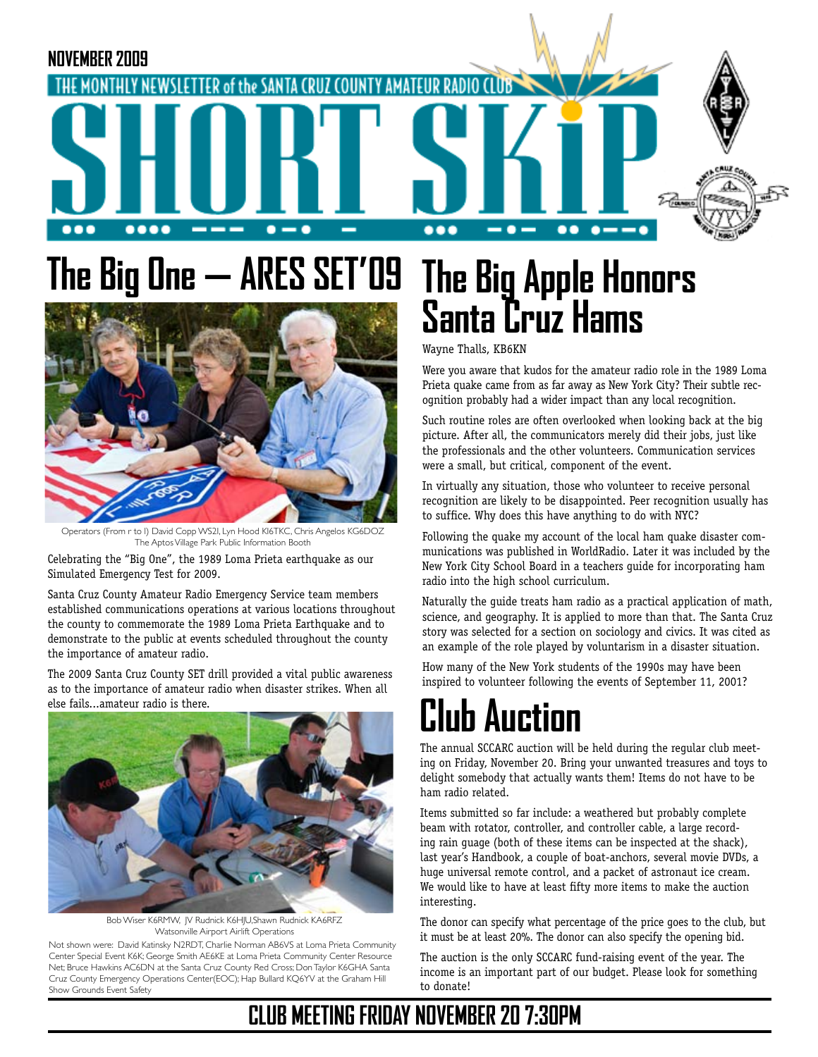

# **The Big One — ARES SET'09**



Operators (From r to l) David Copp WS2I, Lyn Hood KI6TKC, Chris Angelos KG6DOZ The Aptos Village Park Public Information Booth

Celebrating the "Big One", the 1989 Loma Prieta earthquake as our Simulated Emergency Test for 2009.

Santa Cruz County Amateur Radio Emergency Service team members established communications operations at various locations throughout the county to commemorate the 1989 Loma Prieta Earthquake and to demonstrate to the public at events scheduled throughout the county the importance of amateur radio.

The 2009 Santa Cruz County SET drill provided a vital public awareness as to the importance of amateur radio when disaster strikes. When all else fails...amateur radio is there.



Bob Wiser K6RMW, JV Rudnick K6HJU,Shawn Rudnick KA6RFZ Watsonville Airport Airlift Operations

Not shown were: David Katinsky N2RDT, Charlie Norman AB6VS at Loma Prieta Community Center Special Event K6K; George Smith AE6KE at Loma Prieta Community Center Resource Net; Bruce Hawkins AC6DN at the Santa Cruz County Red Cross; Don Taylor K6GHA Santa Cruz County Emergency Operations Center(EOC); Hap Bullard KQ6YV at the Graham Hill Show Grounds Event Safety

# **The Big Apple Honors Santa Cruz Hams**

#### Wayne Thalls, KB6KN

Were you aware that kudos for the amateur radio role in the 1989 Loma Prieta quake came from as far away as New York City? Their subtle recognition probably had a wider impact than any local recognition.

Such routine roles are often overlooked when looking back at the big picture. After all, the communicators merely did their jobs, just like the professionals and the other volunteers. Communication services were a small, but critical, component of the event.

In virtually any situation, those who volunteer to receive personal recognition are likely to be disappointed. Peer recognition usually has to suffice. Why does this have anything to do with NYC?

Following the quake my account of the local ham quake disaster communications was published in WorldRadio. Later it was included by the New York City School Board in a teachers guide for incorporating ham radio into the high school curriculum.

Naturally the guide treats ham radio as a practical application of math, science, and geography. It is applied to more than that. The Santa Cruz story was selected for a section on sociology and civics. It was cited as an example of the role played by voluntarism in a disaster situation.

How many of the New York students of the 1990s may have been inspired to volunteer following the events of September 11, 2001?

# **Club Auction**

The annual SCCARC auction will be held during the regular club meeting on Friday, November 20. Bring your unwanted treasures and toys to delight somebody that actually wants them! Items do not have to be ham radio related.

Items submitted so far include: a weathered but probably complete beam with rotator, controller, and controller cable, a large recording rain guage (both of these items can be inspected at the shack), last year's Handbook, a couple of boat-anchors, several movie DVDs, a huge universal remote control, and a packet of astronaut ice cream. We would like to have at least fifty more items to make the auction interesting.

The donor can specify what percentage of the price goes to the club, but it must be at least 20%. The donor can also specify the opening bid.

The auction is the only SCCARC fund-raising event of the year. The income is an important part of our budget. Please look for something to donate!

### **CLUB MEETING FRIDAY NOVEMBER 20 7:30PM**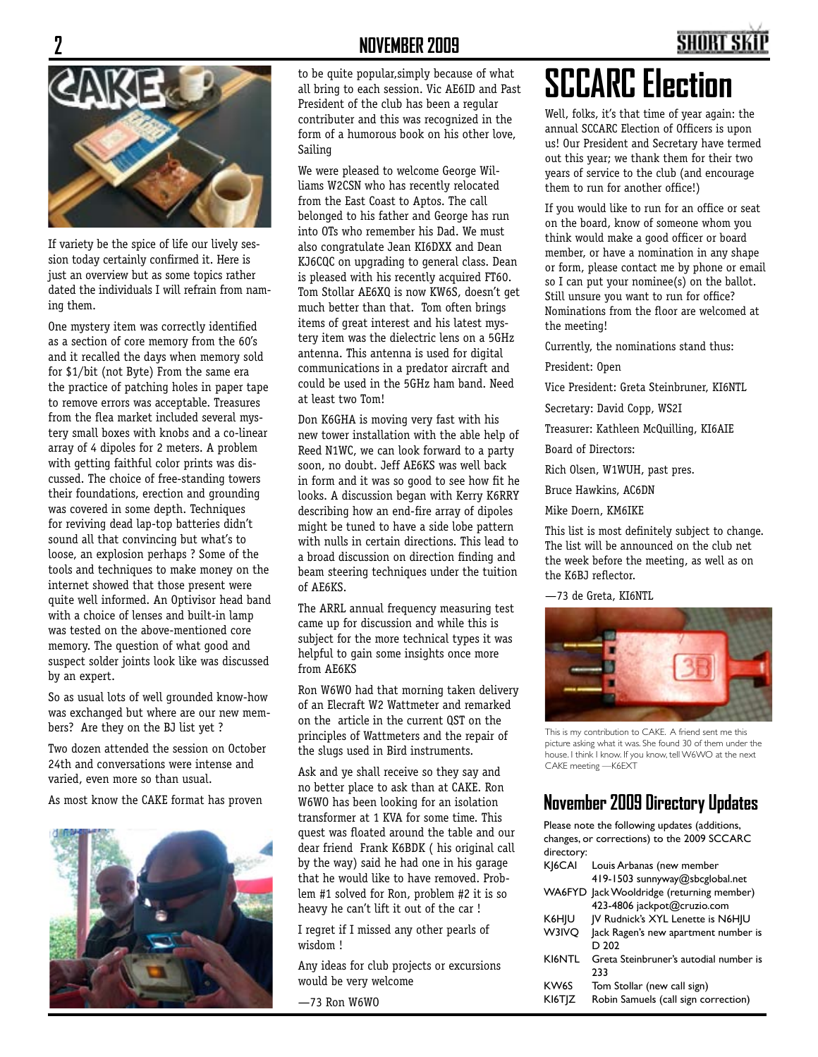#### **2 NOVEMBER 2009**



If variety be the spice of life our lively session today certainly confirmed it. Here is just an overview but as some topics rather dated the individuals I will refrain from naming them.

One mystery item was correctly identified as a section of core memory from the 60's and it recalled the days when memory sold for \$1/bit (not Byte) From the same era the practice of patching holes in paper tape to remove errors was acceptable. Treasures from the flea market included several mystery small boxes with knobs and a co-linear array of 4 dipoles for 2 meters. A problem with getting faithful color prints was discussed. The choice of free-standing towers their foundations, erection and grounding was covered in some depth. Techniques for reviving dead lap-top batteries didn't sound all that convincing but what's to loose, an explosion perhaps ? Some of the tools and techniques to make money on the internet showed that those present were quite well informed. An Optivisor head band with a choice of lenses and built-in lamp was tested on the above-mentioned core memory. The question of what good and suspect solder joints look like was discussed by an expert.

So as usual lots of well grounded know-how was exchanged but where are our new members? Are they on the BJ list yet ?

Two dozen attended the session on October 24th and conversations were intense and varied, even more so than usual.

As most know the CAKE format has proven



to be quite popular,simply because of what all bring to each session. Vic AE6ID and Past President of the club has been a regular contributer and this was recognized in the form of a humorous book on his other love, Sailing

We were pleased to welcome George Williams W2CSN who has recently relocated from the East Coast to Aptos. The call belonged to his father and George has run into OTs who remember his Dad. We must also congratulate Jean KI6DXX and Dean KJ6CQC on upgrading to general class. Dean is pleased with his recently acquired FT60. Tom Stollar AE6XQ is now KW6S, doesn't get much better than that. Tom often brings items of great interest and his latest mystery item was the dielectric lens on a 5GHz antenna. This antenna is used for digital communications in a predator aircraft and could be used in the 5GHz ham band. Need at least two Tom!

Don K6GHA is moving very fast with his new tower installation with the able help of Reed N1WC, we can look forward to a party soon, no doubt. Jeff AE6KS was well back in form and it was so good to see how fit he looks. A discussion began with Kerry K6RRY describing how an end-fire array of dipoles might be tuned to have a side lobe pattern with nulls in certain directions. This lead to a broad discussion on direction finding and beam steering techniques under the tuition of AE6KS.

The ARRL annual frequency measuring test came up for discussion and while this is subject for the more technical types it was helpful to gain some insights once more from AE6KS

Ron W6WO had that morning taken delivery of an Elecraft W2 Wattmeter and remarked on the article in the current QST on the principles of Wattmeters and the repair of the slugs used in Bird instruments.

Ask and ye shall receive so they say and no better place to ask than at CAKE. Ron W6WO has been looking for an isolation transformer at 1 KVA for some time. This quest was floated around the table and our dear friend Frank K6BDK ( his original call by the way) said he had one in his garage that he would like to have removed. Problem #1 solved for Ron, problem #2 it is so heavy he can't lift it out of the car !

I regret if I missed any other pearls of wisdom !

Any ideas for club projects or excursions would be very welcome

—73 Ron W6WO

# **SCCARC Election**

**SHORT SI** 

Well, folks, it's that time of year again: the annual SCCARC Election of Officers is upon us! Our President and Secretary have termed out this year; we thank them for their two years of service to the club (and encourage them to run for another office!)

If you would like to run for an office or seat on the board, know of someone whom you think would make a good officer or board member, or have a nomination in any shape or form, please contact me by phone or email so I can put your nominee(s) on the ballot. Still unsure you want to run for office? Nominations from the floor are welcomed at the meeting!

Currently, the nominations stand thus:

President: Open

Vice President: Greta Steinbruner, KI6NTL

Secretary: David Copp, WS2I

Treasurer: Kathleen McQuilling, KI6AIE

Board of Directors:

Rich Olsen, W1WUH, past pres.

Bruce Hawkins, AC6DN

Mike Doern, KM6IKE

This list is most definitely subject to change. The list will be announced on the club net the week before the meeting, as well as on the K6BJ reflector.

—73 de Greta, KI6NTL



This is my contribution to CAKE. A friend sent me this picture asking what it was. She found 30 of them under the house. I think I know. If you know, tell W6WO at the next CAKE meeting —K6EXT

### **November 2009 Directory Updates**

|                   | Please note the following updates (additions, |
|-------------------|-----------------------------------------------|
|                   | changes, or corrections) to the 2009 SCCARC   |
| directory:        |                                               |
| KI6CAI            | Louis Arbanas (new member                     |
|                   | 419-1503 sunnyway@sbcglobal.net               |
|                   | WA6FYD Jack Wooldridge (returning member)     |
|                   | 423-4806 jackpot@cruzio.com                   |
| K6HIU             | IV Rudnick's XYL Lenette is N6HIU             |
| W3IVQ             | Jack Ragen's new apartment number is          |
|                   | D 202                                         |
| KI6NTL            | Greta Steinbruner's autodial number is        |
|                   | 233                                           |
| KW <sub>6</sub> S | Tom Stollar (new call sign)                   |
| KI6TIZ            | Robin Samuels (call sign correction)          |
|                   |                                               |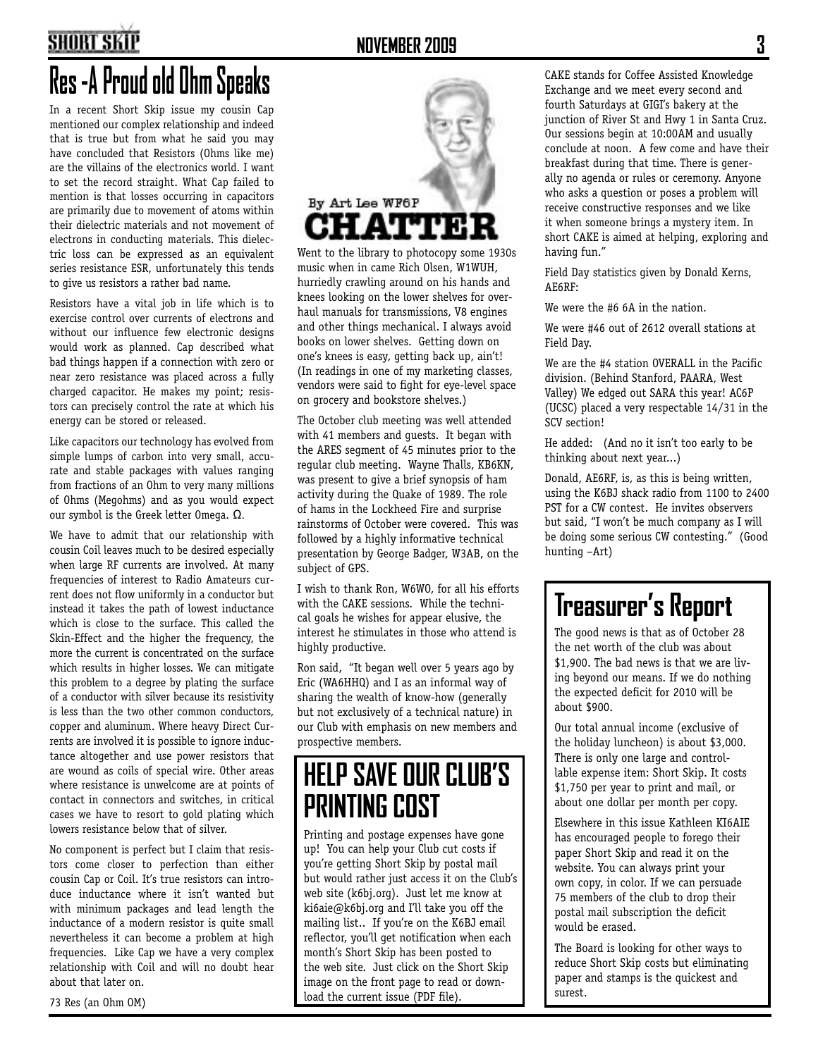### **SHORT SKIP**

### **NOVEMBER 2009 3**

# **Res -A Proud old Ohm Speaks**

In a recent Short Skip issue my cousin Cap mentioned our complex relationship and indeed that is true but from what he said you may have concluded that Resistors (Ohms like me) are the villains of the electronics world. I want to set the record straight. What Cap failed to mention is that losses occurring in capacitors are primarily due to movement of atoms within their dielectric materials and not movement of electrons in conducting materials. This dielectric loss can be expressed as an equivalent series resistance ESR, unfortunately this tends to give us resistors a rather bad name.

Resistors have a vital job in life which is to exercise control over currents of electrons and without our influence few electronic designs would work as planned. Cap described what bad things happen if a connection with zero or near zero resistance was placed across a fully charged capacitor. He makes my point; resistors can precisely control the rate at which his energy can be stored or released.

Like capacitors our technology has evolved from simple lumps of carbon into very small, accurate and stable packages with values ranging from fractions of an Ohm to very many millions of Ohms (Megohms) and as you would expect our symbol is the Greek letter Omega. Ω.

We have to admit that our relationship with cousin Coil leaves much to be desired especially when large RF currents are involved. At many frequencies of interest to Radio Amateurs current does not flow uniformly in a conductor but instead it takes the path of lowest inductance which is close to the surface. This called the Skin-Effect and the higher the frequency, the more the current is concentrated on the surface which results in higher losses. We can mitigate this problem to a degree by plating the surface of a conductor with silver because its resistivity is less than the two other common conductors, copper and aluminum. Where heavy Direct Currents are involved it is possible to ignore inductance altogether and use power resistors that are wound as coils of special wire. Other areas where resistance is unwelcome are at points of contact in connectors and switches, in critical cases we have to resort to gold plating which lowers resistance below that of silver.

No component is perfect but I claim that resistors come closer to perfection than either cousin Cap or Coil. It's true resistors can introduce inductance where it isn't wanted but with minimum packages and lead length the inductance of a modern resistor is quite small nevertheless it can become a problem at high frequencies. Like Cap we have a very complex relationship with Coil and will no doubt hear about that later on.



Went to the library to photocopy some 1930s music when in came Rich Olsen, W1WUH, hurriedly crawling around on his hands and knees looking on the lower shelves for overhaul manuals for transmissions, V8 engines and other things mechanical. I always avoid books on lower shelves. Getting down on one's knees is easy, getting back up, ain't! (In readings in one of my marketing classes, vendors were said to fight for eye-level space on grocery and bookstore shelves.)

The October club meeting was well attended with 41 members and guests. It began with the ARES segment of 45 minutes prior to the regular club meeting. Wayne Thalls, KB6KN, was present to give a brief synopsis of ham activity during the Quake of 1989. The role of hams in the Lockheed Fire and surprise rainstorms of October were covered. This was followed by a highly informative technical presentation by George Badger, W3AB, on the subject of GPS.

I wish to thank Ron, W6WO, for all his efforts with the CAKE sessions. While the technical goals he wishes for appear elusive, the interest he stimulates in those who attend is highly productive.

Ron said, "It began well over 5 years ago by Eric (WA6HHQ) and I as an informal way of sharing the wealth of know-how (generally but not exclusively of a technical nature) in our Club with emphasis on new members and prospective members.

### **HELP SAVE OUR CLUB'S PRINTING COST**

Printing and postage expenses have gone up! You can help your Club cut costs if you're getting Short Skip by postal mail but would rather just access it on the Club's web site (k6bj.org). Just let me know at ki6aie@k6bj.org and I'll take you off the mailing list.. If you're on the K6BJ email reflector, you'll get notification when each month's Short Skip has been posted to the web site. Just click on the Short Skip image on the front page to read or download the current issue (PDF file).

CAKE stands for Coffee Assisted Knowledge Exchange and we meet every second and fourth Saturdays at GIGI's bakery at the junction of River St and Hwy 1 in Santa Cruz. Our sessions begin at 10:00AM and usually conclude at noon. A few come and have their breakfast during that time. There is generally no agenda or rules or ceremony. Anyone who asks a question or poses a problem will receive constructive responses and we like it when someone brings a mystery item. In short CAKE is aimed at helping, exploring and having fun."

Field Day statistics given by Donald Kerns, AE6RF:

We were the #6 6A in the nation.

We were #46 out of 2612 overall stations at Field Day.

We are the #4 station OVERALL in the Pacific division. (Behind Stanford, PAARA, West Valley) We edged out SARA this year! AC6P (UCSC) placed a very respectable 14/31 in the SCV section!

He added: (And no it isn't too early to be thinking about next year...)

Donald, AE6RF, is, as this is being written, using the K6BJ shack radio from 1100 to 2400 PST for a CW contest. He invites observers but said, "I won't be much company as I will be doing some serious CW contesting." (Good hunting –Art)

## **Treasurer's Report**

The good news is that as of October 28 the net worth of the club was about \$1,900. The bad news is that we are living beyond our means. If we do nothing the expected deficit for 2010 will be about \$900.

Our total annual income (exclusive of the holiday luncheon) is about \$3,000. There is only one large and controllable expense item: Short Skip. It costs \$1,750 per year to print and mail, or about one dollar per month per copy.

Elsewhere in this issue Kathleen KI6AIE has encouraged people to forego their paper Short Skip and read it on the website. You can always print your own copy, in color. If we can persuade 75 members of the club to drop their postal mail subscription the deficit would be erased.

The Board is looking for other ways to reduce Short Skip costs but eliminating paper and stamps is the quickest and surest.